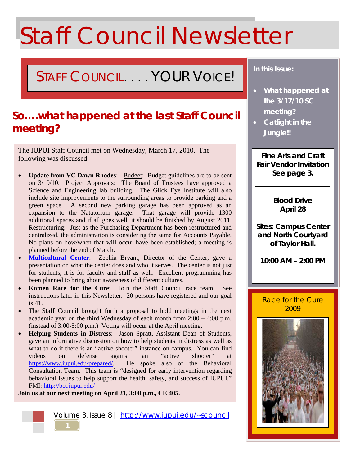# Staff Council Newsletter

## STAFF COUNCIL. . . . YOUR VOICE!

### **So….what happened at the last Staff Council meeting?**

The IUPUI Staff Council met on Wednesday, March 17, 2010. The following was discussed:

- **Update from VC Dawn Rhodes**: Budget: Budget guidelines are to be sent on 3/19/10. Project Approvals: The Board of Trustees have approved a Science and Engineering lab building. The Glick Eye Institute will also include site improvements to the surrounding areas to provide parking and a green space. A second new parking garage has been approved as an expansion to the Natatorium garage. That garage will provide 1300 additional spaces and if all goes well, it should be finished by August 2011. Restructuring: Just as the Purchasing Department has been restructured and centralized, the administration is considering the same for Accounts Payable. No plans on how/when that will occur have been established; a meeting is planned before the end of March.
- **[Multicultural Center](http://mc.iupui.edu/)**: Zephia Bryant, Director of the Center, gave a presentation on what the center does and who it serves. The center is not just for students, it is for faculty and staff as well. Excellent programming has been planned to bring about awareness of different cultures.
- **Komen Race for the Cure**: Join the Staff Council race team. See instructions later in this Newsletter. 20 persons have registered and our goal is 41.
- The Staff Council brought forth a proposal to hold meetings in the next academic year on the third Wednesday of each month from 2:00 – 4:00 p.m. (instead of 3:00-5:00 p.m.) Voting will occur at the April meeting.
- **Helping Students in Distress**: Jason Spratt, Assistant Dean of Students, gave an informative discussion on how to help students in distress as well as what to do if there is an "active shooter" instance on campus. You can find videos on defense against an "active shooter" at https://www.jupui.edu/prepared/. He spoke also of the Behavioral Consultation Team. This team is "designed for early intervention regarding behavioral issues to help support the health, safety, and success of IUPUI." FMI:<http://bct.iupui.edu/>

**Join us at our next meeting on April 21, 3:00 p.m., CE 405.**



#### *In this Issue:*

- *What happened at the 3/17/10 SC meeting?*
- *Catfight in the Jungle!!*

**Fine Arts and Craft Fair Vendor Invitation See page 3.**

> **Blood Drive April 28**

**Sites: Campus Center and North Courtyard of Taylor Hall.**

**10:00 AM – 2:00 PM**

#### Race for the Cure 2009

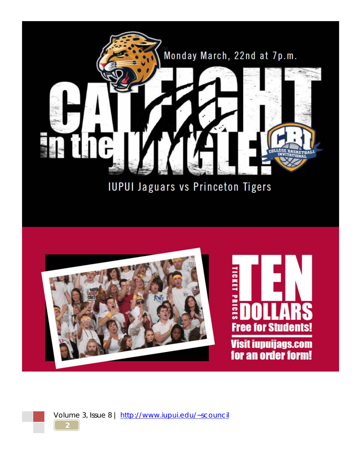

**IUPUI Jaguars vs Princeton Tigers** 



Volume 3, Issue 8 |<http://www.iupui.edu/~scouncil>

**2**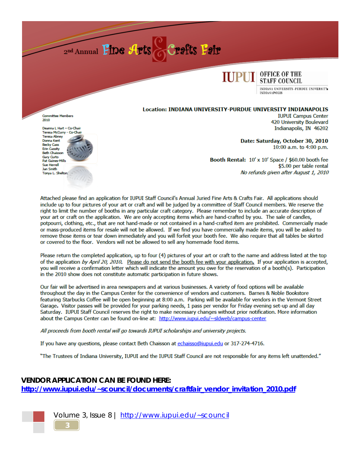



INDIANA UNIVERSITY-PURDUE UNIVERSITY **INDIANAPOLIS** 

#### Location: INDIANA UNIVERSITY-PURDUE UNIVERSITY INDIANAPOLIS

**Committee Members** 2010

Deanna L Hart - Co-Chair Teresa McCurry - Co-Cha Teresa Abney Donna Kent **Becky Cass** Erin Cassity **Beth Chaisson Gary Curto** Pat Gaines-Mills **Sue Herrell** Jan Smith Tonva L. Sheltor

**IUPUI Campus Center** 420 University Boulevard Indianapolis, IN 46202

Date: Saturday, October 30, 2010 10:00 a.m. to 4:00 p.m.

Booth Rental: 10' x 10' Space / \$60.00 booth fee \$5.00 per table rental No refunds given after August 1, 2010

Attached please find an application for IUPUI Staff Council's Annual Juried Fine Arts & Crafts Fair. All applications should include up to four pictures of your art or craft and will be judged by a committee of Staff Council members. We reserve the right to limit the number of booths in any particular craft category. Please remember to include an accurate description of your art or craft on the application. We are only accepting items which are hand-crafted by you. The sale of candles, potpourri, clothing, etc., that are not hand-made or not contained in a hand-crafted item are prohibited. Commercially made or mass-produced items for resale will not be allowed. If we find you have commercially made items, you will be asked to remove those items or tear down immediately and you will forfeit your booth fee. We also require that all tables be skirted or covered to the floor. Vendors will not be allowed to sell any homemade food items.

Please return the completed application, up to four (4) pictures of your art or craft to the name and address listed at the top of the application by April 20, 2010. Please do not send the booth fee with your application. If your application is accepted, you will receive a confirmation letter which will indicate the amount you owe for the reservation of a booth(s). Participation in the 2010 show does not constitute automatic participation in future shows.

Our fair will be advertised in area newspapers and at various businesses. A variety of food options will be available throughout the day in the Campus Center for the convenience of vendors and customers. Barnes & Noble Bookstore featuring Starbucks Coffee will be open beginning at 8:00 a.m. Parking will be available for vendors in the Vermont Street Garage. Visitor passes will be provided for your parking needs, 1 pass per vendor for Friday evening set-up and all day Saturday. IUPUI Staff Council reserves the right to make necessary changes without prior notification. More information about the Campus Center can be found on-line at: http://www.iupui.edu/~sldweb/campus-center

All proceeds from booth rental will go towards IUPUI scholarships and university projects.

If you have any questions, please contact Beth Chaisson at echaisso@iupui.edu or 317-274-4716.

"The Trustees of Indiana University, IUPUI and the IUPUI Staff Council are not responsible for any items left unattended."

#### **VENDOR APPLICATION CAN BE FOUND HERE:** http://www.jupuj.edu/~scouncil/documents/craftfair vendor invitation 2010.pdf



Volume 3, Issue 8 | http://www.iupui.edu/~scouncil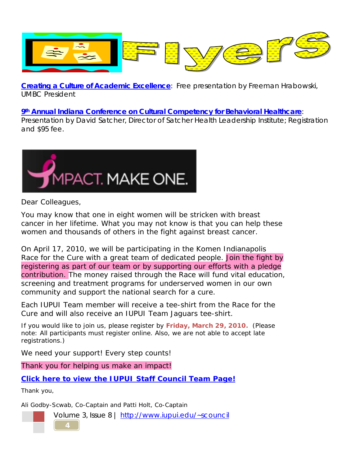

**[Creating a Culture of Academic Excellence](http://www.iupui.edu/~scouncil/documents/newsletters/volume3/presidential_series_april_2010.pdf)**: Free presentation by Freeman Hrabowski, UMBC President

**9th [Annual Indiana Conference on Cultural Competency for Behavioral Healthcare](http://www.iupui.edu/~scouncil/documents/newsletters/volume3/presidential_series_april_2010.pdf)**:

Presentation by David Satcher, Director of Satcher Health Leadership Institute; Registration and \$95 fee.



Dear Colleagues,

You may know that one in eight women will be stricken with breast cancer in her lifetime. What you may not know is that you can help these women and thousands of others in the fight against breast cancer.

On April 17, 2010, we will be participating in the Komen Indianapolis Race for the Cure with a great team of dedicated people. Join the fight by registering as part of our team or by supporting our efforts with a pledge contribution. The money raised through the Race will fund vital education, screening and treatment programs for underserved women in our own community and support the national search for a cure.

Each IUPUI Team member will receive a tee-shirt from the Race for the Cure and will also receive an IUPUI Team Jaguars tee-shirt.

If you would like to join us, please register by **Friday, March 29, 2010.** (Please note: All participants must register online. Also, we are not able to accept late registrations.)

We need your support! Every step counts!

Thank you for helping us make an impact!

**[Click here to view the IUPUI Staff Council Team Page!](http://race.komenindy.org/site/TR/Race/General?pg=team&fr_id=1070&team_id=36670)**

Thank you,

Ali Godby-Scwab, Co-Captain and Patti Holt, Co-Captain

Volume 3, Issue 8 |<http://www.iupui.edu/~scouncil>